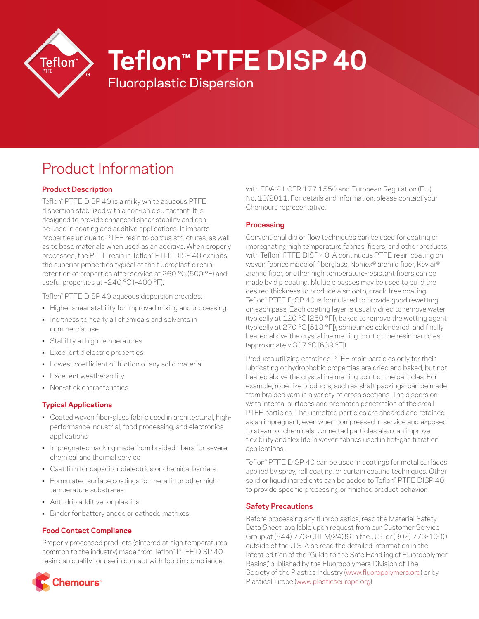

# **Teflon™ PTFE DISP 40**

Fluoroplastic Dispersion

# Product Information

# **Product Description**

Teflon™ PTFE DISP 40 is a milky white aqueous PTFE dispersion stabilized with a non-ionic surfactant. It is designed to provide enhanced shear stability and can be used in coating and additive applications. It imparts properties unique to PTFE resin to porous structures, as well as to base materials when used as an additive. When properly processed, the PTFE resin in Teflon™ PTFE DISP 40 exhibits the superior properties typical of the fluoroplastic resin: retention of properties after service at 260 °C (500 °F) and useful properties at –240 °C (–400 °F).

Teflon™ PTFE DISP 40 aqueous dispersion provides:

- Higher shear stability for improved mixing and processing
- Inertness to nearly all chemicals and solvents in commercial use
- Stability at high temperatures
- Excellent dielectric properties
- Lowest coefficient of friction of any solid material
- Excellent weatherability
- Non-stick characteristics

# **Typical Applications**

- Coated woven fiber-glass fabric used in architectural, highperformance industrial, food processing, and electronics applications
- Impregnated packing made from braided fibers for severe chemical and thermal service
- Cast film for capacitor dielectrics or chemical barriers
- Formulated surface coatings for metallic or other hightemperature substrates
- Anti-drip additive for plastics
- Binder for battery anode or cathode matrixes

# **Food Contact Compliance**

Properly processed products (sintered at high temperatures common to the industry) made from Teflon™ PTFE DISP 40 resin can qualify for use in contact with food in compliance



with FDA 21 CFR 177.1550 and European Regulation (EU) No. 10/2011. For details and information, please contact your Chemours representative.

### **Processing**

Conventional dip or flow techniques can be used for coating or impregnating high temperature fabrics, fibers, and other products with Teflon™ PTFE DISP 40. A continuous PTFE resin coating on woven fabrics made of fiberglass, Nomex® aramid fiber, Kevlar® aramid fiber, or other high temperature-resistant fibers can be made by dip coating. Multiple passes may be used to build the desired thickness to produce a smooth, crack-free coating. Teflon™ PTFE DISP 40 is formulated to provide good rewetting on each pass. Each coating layer is usually dried to remove water (typically at 120 °C [250 °F]), baked to remove the wetting agent (typically at 270 °C [518 °F]), sometimes calendered, and finally heated above the crystalline melting point of the resin particles (approximately 337 °C [639 °F]).

Products utilizing entrained PTFE resin particles only for their lubricating or hydrophobic properties are dried and baked, but not heated above the crystalline melting point of the particles. For example, rope-like products, such as shaft packings, can be made from braided yarn in a variety of cross sections. The dispersion wets internal surfaces and promotes penetration of the small PTFE particles. The unmelted particles are sheared and retained as an impregnant, even when compressed in service and exposed to steam or chemicals. Unmelted particles also can improve flexibility and flex life in woven fabrics used in hot-gas filtration applications.

Teflon™ PTFE DISP 40 can be used in coatings for metal surfaces applied by spray, roll coating, or curtain coating techniques. Other solid or liquid ingredients can be added to Teflon™ PTFE DISP 40 to provide specific processing or finished product behavior.

#### **Safety Precautions**

Before processing any fluoroplastics, read the Material Safety Data Sheet, available upon request from our Customer Service Group at (844) 773-CHEM/2436 in the U.S. or (302) 773-1000 outside of the U.S. Also read the detailed information in the latest edition of the "Guide to the Safe Handling of Fluoropolymer Resins," published by the Fluoropolymers Division of The Society of the Plastics Industry [\(www.fluoropolymers.org\)](http://www.fluoropolymers.org) or by PlasticsEurope ([www.plasticseurope.org\)](http://www.plasticseurope.org).